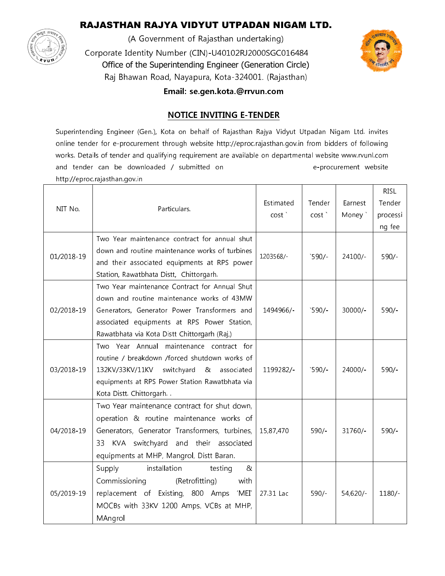## RAJASTHAN RAJYA VIDYUT UTPADAN NIGAM LTD.



(A Government of Rajasthan undertaking) Corporate Identity Number (CIN)-U40102RJ2000SGC016484 Office of the Superintending Engineer (Generation Circle) Raj Bhawan Road, Nayapura, Kota-324001. (Rajasthan)



Email: se.gen.kota.@rrvun.com

### **NOTICE INVITING E-TENDER**

Superintending Engineer (Gen.), Kota on behalf of Rajasthan Rajya Vidyut Utpadan Nigam Ltd. invites online tender for e-procurement through website http://eproc.rajasthan.gov.in from bidders of following works. Details of tender and qualifying requirement are available on departmental website www.rvunl.com and tender can be downloaded / submitted on e-procurement website http://eproc.rajasthan.gov.in

|            |                                                  |                   |                 |            | <b>RISL</b> |
|------------|--------------------------------------------------|-------------------|-----------------|------------|-------------|
| NIT No.    | Particulars.                                     | Estimated         | Tender          | Earnest    | Tender      |
|            |                                                  | cost <sup>'</sup> | cost'           | Money `    | processi    |
|            |                                                  |                   |                 |            | ng fee      |
| 01/2018-19 | Two Year maintenance contract for annual shut    |                   |                 |            |             |
|            | down and routine maintenance works of turbines   | 1203568/-         | $^{\circ}590/-$ | 24100/-    | $590/-$     |
|            | and their associated equipments at RPS power     |                   |                 |            |             |
|            | Station, Rawatbhata Distt, Chittorgarh.          |                   |                 |            |             |
|            | Two Year maintenance Contract for Annual Shut    |                   |                 |            |             |
| 02/2018-19 | down and routine maintenance works of 43MW       |                   |                 |            |             |
|            | Generators, Generator Power Transformers and     | 1494966/-         | 590/            | $30000/-$  | $590/-$     |
|            | associated equipments at RPS Power Station,      |                   |                 |            |             |
|            | Rawatbhata via Kota Distt Chittorgarh (Raj,)     |                   |                 |            |             |
| 03/2018-19 | Two Year Annual maintenance contract for         |                   |                 |            |             |
|            | routine / breakdown /forced shutdown works of    |                   |                 |            |             |
|            | 132KV/33KV/11KV<br>switchyard<br>&<br>associated | 1199282/-         | 590/            | 24000/-    | $590/-$     |
|            | equipments at RPS Power Station Rawatbhata via   |                   |                 |            |             |
|            | Kota Distt. Chittorgarh                          |                   |                 |            |             |
| 04/2018-19 | Two Year maintenance contract for shut down,     |                   |                 |            |             |
|            | operation & routine maintenance works of         |                   |                 |            |             |
|            | Generators, Generator Transformers, turbines,    | 15,87,470         | $590/-$         | 31760/     | $590/-$     |
|            | KVA switchyard and their associated<br>33        |                   |                 |            |             |
|            | equipments at MHP, Mangrol, Distt Baran.         |                   |                 |            |             |
| 05/2019-19 | Supply<br>installation<br>testing<br>&           |                   |                 |            |             |
|            | Commissioning<br>(Retrofitting)<br>with          |                   |                 |            |             |
|            | replacement of Existing, 800 Amps<br>'MEI'       | 27.31 Lac         | $590/-$         | $54,620/-$ | $1180/-$    |
|            | MOCBs with 33KV 1200 Amps. VCBs at MHP,          |                   |                 |            |             |
|            | MAngrol                                          |                   |                 |            |             |